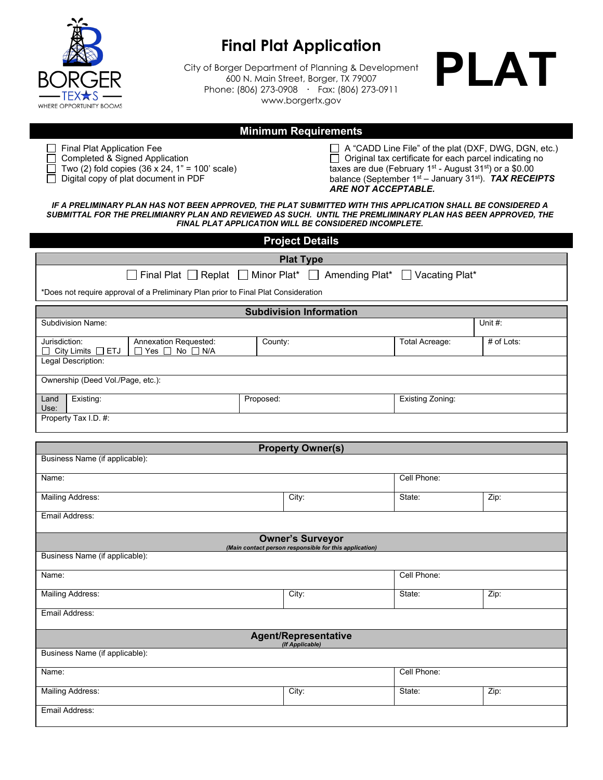

# **Final Plat Application**

City of Borger Department of Planning & Development 600 N. Main Street, Borger, TX 79007 Phone: (806) 273-0908 **·** Fax: (806) 273-0911 www.borgertx.gov



# **Minimum Requirements**

 $\Box$  Final Plat Application Fee

□ Completed & Signed Application

 $\Box$  Two (2) fold copies (36 x 24, 1" = 100' scale)

 $\Box$  Digital copy of plat document in PDF

 $\Box$  A "CADD Line File" of the plat (DXF, DWG, DGN, etc.)  $\Box$  Original tax certificate for each parcel indicating no taxes are due (February  $1<sup>st</sup>$  - August 31 $<sup>st</sup>$ ) or a \$0.00</sup> balance (September 1st – January 31st). *TAX RECEIPTS ARE NOT ACCEPTABLE.*

*IF A PRELIMINARY PLAN HAS NOT BEEN APPROVED, THE PLAT SUBMITTED WITH THIS APPLICATION SHALL BE CONSIDERED A SUBMITTAL FOR THE PRELIMIANRY PLAN AND REVIEWED AS SUCH. UNTIL THE PREMLIMINARY PLAN HAS BEEN APPROVED, THE FINAL PLAT APPLICATION WILL BE CONSIDERED INCOMPLETE.*

| <b>Project Details</b>                                                                                     |         |                          |                         |            |  |  |  |  |
|------------------------------------------------------------------------------------------------------------|---------|--------------------------|-------------------------|------------|--|--|--|--|
| <b>Plat Type</b>                                                                                           |         |                          |                         |            |  |  |  |  |
| Final Plat   Replat   Minor Plat*   Amending Plat*   Vacating Plat*                                        |         |                          |                         |            |  |  |  |  |
| *Does not require approval of a Preliminary Plan prior to Final Plat Consideration                         |         |                          |                         |            |  |  |  |  |
| <b>Subdivision Information</b>                                                                             |         |                          |                         |            |  |  |  |  |
| <b>Subdivision Name:</b>                                                                                   |         |                          |                         | Unit #:    |  |  |  |  |
| Jurisdiction:<br>Annexation Requested:<br>City Limits □ ETJ<br>$\Box$ Yes $\Box$<br>$No$ $\Box$ $N/A$<br>ப | County: |                          | <b>Total Acreage:</b>   | # of Lots: |  |  |  |  |
| Legal Description:                                                                                         |         |                          |                         |            |  |  |  |  |
| Ownership (Deed Vol./Page, etc.):                                                                          |         |                          |                         |            |  |  |  |  |
| Existing:<br>Proposed:<br>Land<br>Use:                                                                     |         |                          | <b>Existing Zoning:</b> |            |  |  |  |  |
| Property Tax I.D. #:                                                                                       |         |                          |                         |            |  |  |  |  |
|                                                                                                            |         | <b>Property Owner(s)</b> |                         |            |  |  |  |  |
| Business Name (if applicable):                                                                             |         |                          |                         |            |  |  |  |  |
| Name:                                                                                                      |         |                          | Cell Phone:             |            |  |  |  |  |
|                                                                                                            |         |                          |                         |            |  |  |  |  |
| <b>Mailing Address:</b>                                                                                    |         | City:                    | State:                  | Zip:       |  |  |  |  |
| Email Address:                                                                                             |         |                          |                         |            |  |  |  |  |
| <b>Owner's Surveyor</b><br>(Main contact person responsible for this application)                          |         |                          |                         |            |  |  |  |  |
| Business Name (if applicable):                                                                             |         |                          |                         |            |  |  |  |  |
| Name:                                                                                                      |         |                          | Cell Phone:             |            |  |  |  |  |
| <b>Mailing Address:</b>                                                                                    |         | City:                    | State:                  | Zip:       |  |  |  |  |
| Email Address:                                                                                             |         |                          |                         |            |  |  |  |  |
| <b>Agent/Representative</b><br>(If Applicable)                                                             |         |                          |                         |            |  |  |  |  |
| Business Name (if applicable):                                                                             |         |                          |                         |            |  |  |  |  |
| Name:                                                                                                      |         |                          | Cell Phone:             |            |  |  |  |  |
| <b>Mailing Address:</b>                                                                                    |         | City:                    | State:                  | Zip:       |  |  |  |  |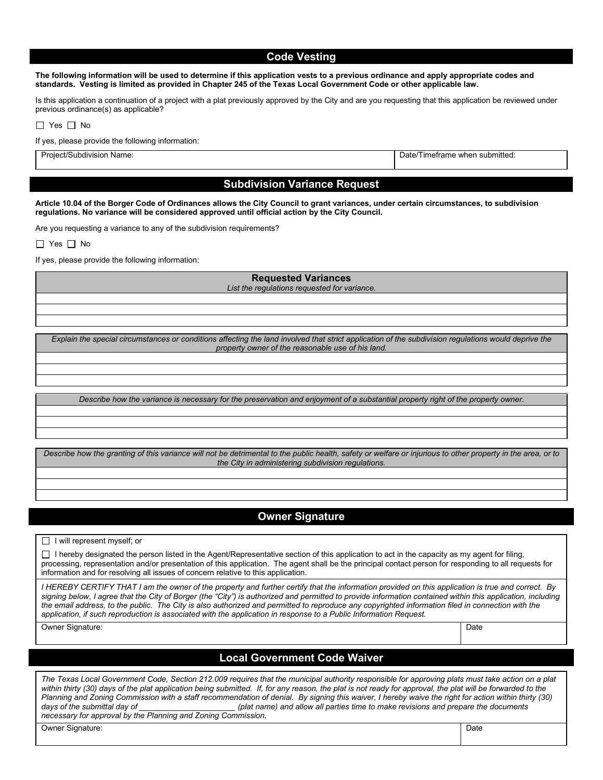### **Code Vesting**

**The following information will be used to determine if this application vests to a previous ordinance and apply appropriate codes and standards. Vesting is limited as provided in Chapter 245 of the Texas Local Government Code or other applicable law.**

Is this application a continuation of a project with a plat previously approved by the City and are you requesting that this application be reviewed under previous ordinance(s) as applicable?

| -- | N٥ |
|----|----|
|    |    |

If yes, please provide the following information:

Project/Subdivision Name: Date/Timeframe when submitted:

# **Subdivision Variance Request**

**Article 10.04 of the Borger Code of Ordinances allows the City Council to grant variances, under certain circumstances, to subdivision regulations. No variance will be considered approved until official action by the City Council.**

Are you requesting a variance to any of the subdivision requirements?

 $\Box$  Yes  $\Box$  No

If yes, please provide the following information:

#### **Requested Variances**

*List the regulations requested for variance.*

*Explain the special circumstances or conditions affecting the land involved that strict application of the subdivision regulations would deprive the property owner of the reasonable use of his land.*

*Describe how the variance is necessary for the preservation and enjoyment of a substantial property right of the property owner.*

*Describe how the granting of this variance will not be detrimental to the public health, safety or welfare or injurious to other property in the area, or to the City in administering subdivision regulations.*

# **Owner Signature**

 $\Box$  I will represent myself; or

 $\Box$  I hereby designated the person listed in the Agent/Representative section of this application to act in the capacity as my agent for filing, processing, representation and/or presentation of this application. The agent shall be the principal contact person for responding to all requests for information and for resolving all issues of concern relative to this application.

*I HEREBY CERTIFY THAT I am the owner of the property and further certify that the information provided on this application is true and correct. By signing below, I agree that the City of Borger (the "City") is authorized and permitted to provide information contained within this application, including*  the email address, to the public. The City is also authorized and permitted to reproduce any copyrighted information filed in connection with the *application, if such reproduction is associated with the application in response to a Public Information Request.*

Owner Signature: Date and the Date of the Date of the Date of the Date of the Date of the Date of the Date of the Date of the Date of the Date of the Date of the Date of the Date of the Date of the Date of the Date of the

# **Local Government Code Waiver**

*The Texas Local Government Code, Section 212.009 requires that the municipal authority responsible for approving plats must take action on a plat*  within thirty (30) days of the plat application being submitted. If, for any reason, the plat is not ready for approval, the plat will be forwarded to the *Planning and Zoning Commission with a staff recommendation of denial. By signing this waiver, I hereby waive the right for action within thirty (30)*  days of the submittal day of *days of the submittal day of nume) and allow all parties time to make revisions and prepare the documents necessary for approval by the Planning and Zoning Commission.* 

Owner Signature: 
Date 
Development Contract 

Development Contract 

Date 

Development Contract 

Development Contract 

Development Contract 

Development Contract 

Development Contract 

Development Contract 

Develop